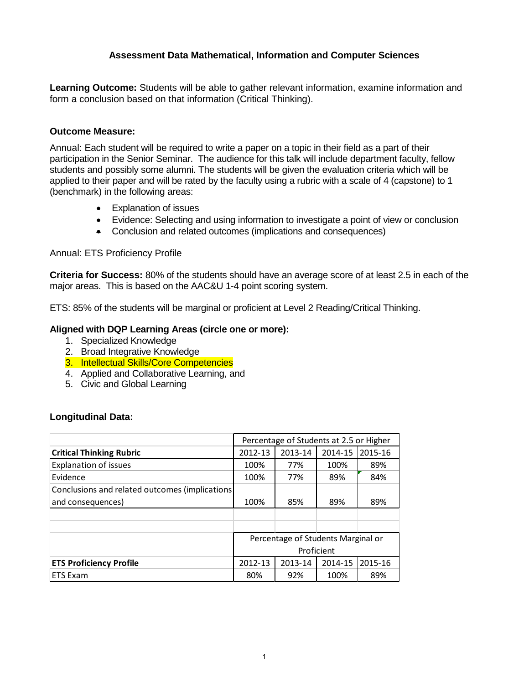**Learning Outcome:** Students will be able to gather relevant information, examine information and form a conclusion based on that information (Critical Thinking).

### **Outcome Measure:**

Annual: Each student will be required to write a paper on a topic in their field as a part of their participation in the Senior Seminar. The audience for this talk will include department faculty, fellow students and possibly some alumni. The students will be given the evaluation criteria which will be applied to their paper and will be rated by the faculty using a rubric with a scale of 4 (capstone) to 1 (benchmark) in the following areas:

- Explanation of issues
- Evidence: Selecting and using information to investigate a point of view or conclusion
- Conclusion and related outcomes (implications and consequences)

### Annual: ETS Proficiency Profile

**Criteria for Success:** 80% of the students should have an average score of at least 2.5 in each of the major areas. This is based on the AAC&U 1-4 point scoring system.

ETS: 85% of the students will be marginal or proficient at Level 2 Reading/Critical Thinking.

### **Aligned with DQP Learning Areas (circle one or more):**

- 1. Specialized Knowledge
- 2. Broad Integrative Knowledge
- 3. Intellectual Skills/Core Competencies
- 4. Applied and Collaborative Learning, and
- 5. Civic and Global Learning

### **Longitudinal Data:**

|                                                 | Percentage of Students at 2.5 or Higher |                                    |         |         |  |  |
|-------------------------------------------------|-----------------------------------------|------------------------------------|---------|---------|--|--|
| <b>Critical Thinking Rubric</b>                 | 2012-13                                 | 2013-14                            | 2014-15 | 2015-16 |  |  |
| <b>Explanation of issues</b>                    | 100%                                    | 77%                                | 100%    | 89%     |  |  |
| Evidence                                        | 100%                                    | 77%                                | 89%     | 84%     |  |  |
| Conclusions and related outcomes (implications) |                                         |                                    |         |         |  |  |
| and consequences)                               | 100%                                    | 85%                                | 89%     | 89%     |  |  |
|                                                 |                                         |                                    |         |         |  |  |
|                                                 |                                         |                                    |         |         |  |  |
|                                                 |                                         | Percentage of Students Marginal or |         |         |  |  |
|                                                 | Proficient                              |                                    |         |         |  |  |
| <b>ETS Proficiency Profile</b>                  | 2012-13                                 | 2013-14                            | 2014-15 | 2015-16 |  |  |
| ETS Exam                                        | 80%                                     | 92%                                | 100%    | 89%     |  |  |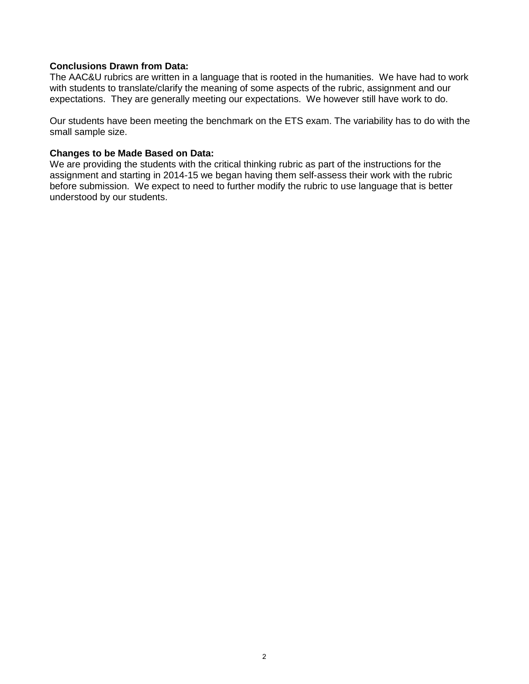### **Conclusions Drawn from Data:**

The AAC&U rubrics are written in a language that is rooted in the humanities. We have had to work with students to translate/clarify the meaning of some aspects of the rubric, assignment and our expectations. They are generally meeting our expectations. We however still have work to do.

Our students have been meeting the benchmark on the ETS exam. The variability has to do with the small sample size.

### **Changes to be Made Based on Data:**

We are providing the students with the critical thinking rubric as part of the instructions for the assignment and starting in 2014-15 we began having them self-assess their work with the rubric before submission. We expect to need to further modify the rubric to use language that is better understood by our students.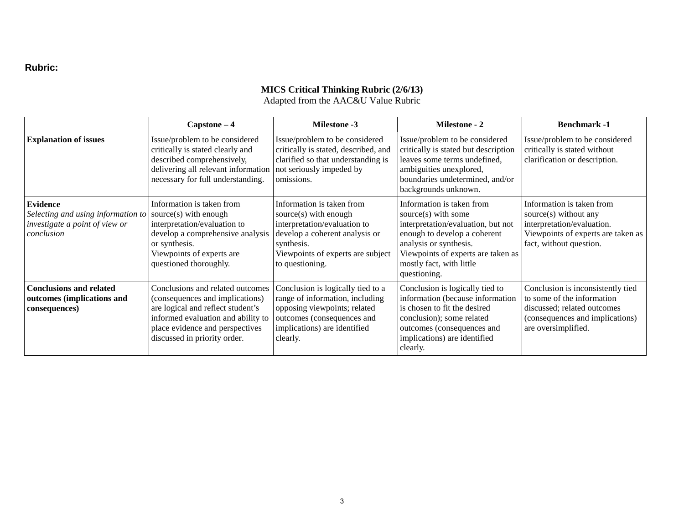# **Rubric:**

### **MICS Critical Thinking Rubric (2/6/13)**

Adapted from the AAC&U Value Rubric

|                                                                                                       | $Capstone-4$                                                                                                                                                                                                      | <b>Milestone -3</b>                                                                                                                                                                        | <b>Milestone - 2</b>                                                                                                                                                                                                               | <b>Benchmark -1</b>                                                                                                                                      |
|-------------------------------------------------------------------------------------------------------|-------------------------------------------------------------------------------------------------------------------------------------------------------------------------------------------------------------------|--------------------------------------------------------------------------------------------------------------------------------------------------------------------------------------------|------------------------------------------------------------------------------------------------------------------------------------------------------------------------------------------------------------------------------------|----------------------------------------------------------------------------------------------------------------------------------------------------------|
| <b>Explanation of issues</b>                                                                          | Issue/problem to be considered<br>critically is stated clearly and<br>described comprehensively,<br>delivering all relevant information<br>necessary for full understanding.                                      | Issue/problem to be considered<br>critically is stated, described, and<br>clarified so that understanding is<br>not seriously impeded by<br>omissions.                                     | Issue/problem to be considered<br>critically is stated but description<br>leaves some terms undefined,<br>ambiguities unexplored,<br>boundaries undetermined, and/or<br>backgrounds unknown.                                       | Issue/problem to be considered<br>critically is stated without<br>clarification or description.                                                          |
| <b>Evidence</b><br>Selecting and using information to<br>investigate a point of view or<br>conclusion | Information is taken from<br>source $(s)$ with enough<br>interpretation/evaluation to<br>develop a comprehensive analysis<br>or synthesis.<br>Viewpoints of experts are<br>questioned thoroughly.                 | Information is taken from<br>source(s) with enough<br>interpretation/evaluation to<br>develop a coherent analysis or<br>synthesis.<br>Viewpoints of experts are subject<br>to questioning. | Information is taken from<br>source(s) with some<br>interpretation/evaluation, but not<br>enough to develop a coherent<br>analysis or synthesis.<br>Viewpoints of experts are taken as<br>mostly fact, with little<br>questioning. | Information is taken from<br>source(s) without any<br>interpretation/evaluation.<br>Viewpoints of experts are taken as<br>fact, without question.        |
| <b>Conclusions and related</b><br>outcomes (implications and<br>consequences)                         | Conclusions and related outcomes<br>(consequences and implications)<br>are logical and reflect student's<br>informed evaluation and ability to<br>place evidence and perspectives<br>discussed in priority order. | Conclusion is logically tied to a<br>range of information, including<br>opposing viewpoints; related<br>outcomes (consequences and<br>implications) are identified<br>clearly.             | Conclusion is logically tied to<br>information (because information<br>is chosen to fit the desired<br>conclusion); some related<br>outcomes (consequences and<br>implications) are identified<br>clearly.                         | Conclusion is inconsistently tied<br>to some of the information<br>discussed; related outcomes<br>(consequences and implications)<br>are oversimplified. |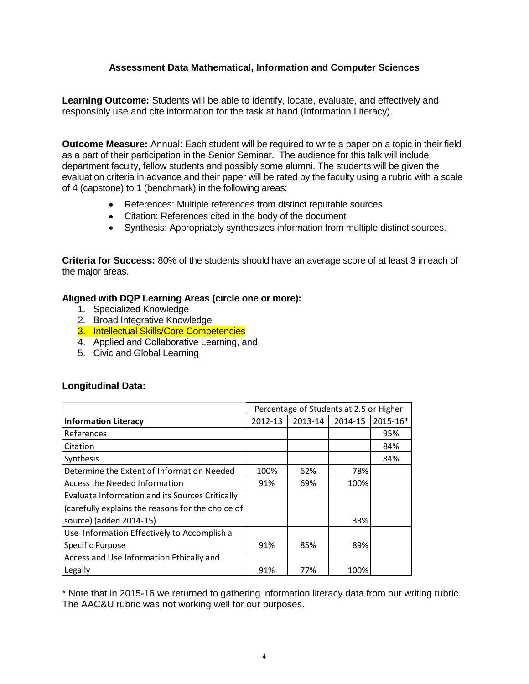**Learning Outcome:** Students will be able to identify, locate, evaluate, and effectively and responsibly use and cite information for the task at hand (Information Literacy).

**Outcome Measure:** Annual: Each student will be required to write a paper on a topic in their field as a part of their participation in the Senior Seminar. The audience for this talk will include department faculty, fellow students and possibly some alumni. The students will be given the evaluation criteria in advance and their paper will be rated by the faculty using a rubric with a scale of 4 (capstone) to 1 (benchmark) in the following areas:

- References: Multiple references from distinct reputable sources
- Citation: References cited in the body of the document
- Synthesis: Appropriately synthesizes information from multiple distinct sources.

**Criteria for Success:** 80% of the students should have an average score of at least 3 in each of the major areas.

### **Aligned with DQP Learning Areas (circle one or more):**

- 1. Specialized Knowledge
- 2. Broad Integrative Knowledge
- 3. Intellectual Skills/Core Competencies
- 4. Applied and Collaborative Learning, and
- 5. Civic and Global Learning

|                                                   | Percentage of Students at 2.5 or Higher |         |         |          |  |  |
|---------------------------------------------------|-----------------------------------------|---------|---------|----------|--|--|
| <b>Information Literacy</b>                       | 2012-13                                 | 2013-14 | 2014-15 | 2015-16* |  |  |
| References                                        |                                         |         |         | 95%      |  |  |
| Citation                                          |                                         |         |         | 84%      |  |  |
| Synthesis                                         |                                         |         |         | 84%      |  |  |
| Determine the Extent of Information Needed        | 100%                                    | 62%     | 78%     |          |  |  |
| Access the Needed Information                     | 91%                                     | 69%     | 100%    |          |  |  |
| Evaluate Information and its Sources Critically   |                                         |         |         |          |  |  |
| (carefully explains the reasons for the choice of |                                         |         |         |          |  |  |
| source) (added 2014-15)                           |                                         |         | 33%     |          |  |  |
| Use Information Effectively to Accomplish a       |                                         |         |         |          |  |  |
| Specific Purpose                                  | 91%                                     | 85%     | 89%     |          |  |  |
| Access and Use Information Ethically and          |                                         |         |         |          |  |  |
| Legally                                           | 91%                                     | 77%     | 100%    |          |  |  |

### **Longitudinal Data:**

\* Note that in 2015-16 we returned to gathering information literacy data from our writing rubric. The AAC&U rubric was not working well for our purposes.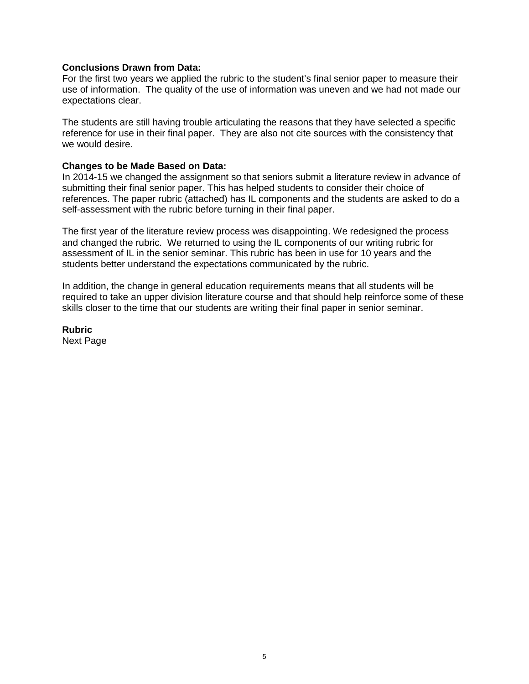### **Conclusions Drawn from Data:**

For the first two years we applied the rubric to the student's final senior paper to measure their use of information. The quality of the use of information was uneven and we had not made our expectations clear.

The students are still having trouble articulating the reasons that they have selected a specific reference for use in their final paper. They are also not cite sources with the consistency that we would desire.

### **Changes to be Made Based on Data:**

In 2014-15 we changed the assignment so that seniors submit a literature review in advance of submitting their final senior paper. This has helped students to consider their choice of references. The paper rubric (attached) has IL components and the students are asked to do a self-assessment with the rubric before turning in their final paper.

The first year of the literature review process was disappointing. We redesigned the process and changed the rubric. We returned to using the IL components of our writing rubric for assessment of IL in the senior seminar. This rubric has been in use for 10 years and the students better understand the expectations communicated by the rubric.

In addition, the change in general education requirements means that all students will be required to take an upper division literature course and that should help reinforce some of these skills closer to the time that our students are writing their final paper in senior seminar.

**Rubric** Next Page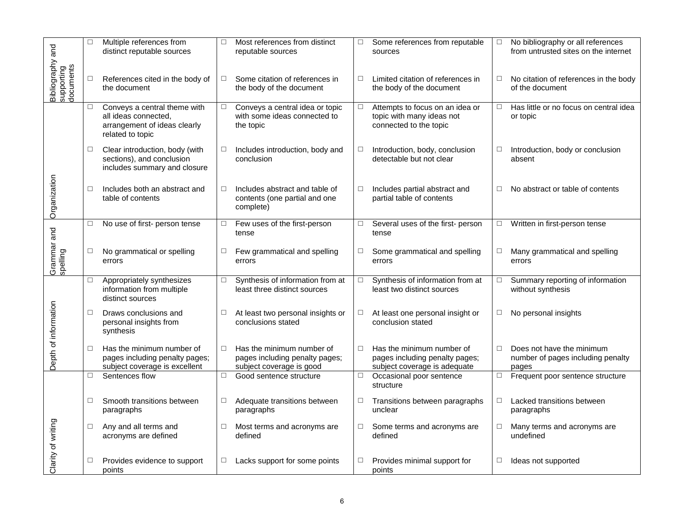| and                                     | $\Box$ | Multiple references from<br>distinct reputable sources                                                   | □      | Most references from distinct<br>reputable sources                                      | □      | Some references from reputable<br>sources                                                   | $\Box$ | No bibliography or all references<br>from untrusted sites on the internet |
|-----------------------------------------|--------|----------------------------------------------------------------------------------------------------------|--------|-----------------------------------------------------------------------------------------|--------|---------------------------------------------------------------------------------------------|--------|---------------------------------------------------------------------------|
| Bibliography<br>supporting<br>documents | □      | References cited in the body of<br>the document                                                          | $\Box$ | Some citation of references in<br>the body of the document                              | $\Box$ | Limited citation of references in<br>the body of the document                               | $\Box$ | No citation of references in the body<br>of the document                  |
|                                         | □      | Conveys a central theme with<br>all ideas connected,<br>arrangement of ideas clearly<br>related to topic | $\Box$ | Conveys a central idea or topic<br>with some ideas connected to<br>the topic            | □      | Attempts to focus on an idea or<br>topic with many ideas not<br>connected to the topic      | □      | Has little or no focus on central idea<br>or topic                        |
|                                         | $\Box$ | Clear introduction, body (with<br>sections), and conclusion<br>includes summary and closure              | $\Box$ | Includes introduction, body and<br>conclusion                                           | $\Box$ | Introduction, body, conclusion<br>detectable but not clear                                  | □      | Introduction, body or conclusion<br>absent                                |
| Organization                            | $\Box$ | Includes both an abstract and<br>table of contents                                                       | $\Box$ | Includes abstract and table of<br>contents (one partial and one<br>complete)            | □      | Includes partial abstract and<br>partial table of contents                                  | □      | No abstract or table of contents                                          |
|                                         | □      | No use of first- person tense                                                                            | □      | Few uses of the first-person<br>tense                                                   | □      | Several uses of the first- person<br>tense                                                  | $\Box$ | Written in first-person tense                                             |
| Grammar and<br>spelling                 | $\Box$ | No grammatical or spelling<br>errors                                                                     | □      | Few grammatical and spelling<br>errors                                                  | $\Box$ | Some grammatical and spelling<br>errors                                                     | □      | Many grammatical and spelling<br>errors                                   |
|                                         | $\Box$ | Appropriately synthesizes<br>information from multiple<br>distinct sources                               | $\Box$ | Synthesis of information from at<br>least three distinct sources                        | □      | Synthesis of information from at<br>least two distinct sources                              | $\Box$ | Summary reporting of information<br>without synthesis                     |
| Depth of information                    | $\Box$ | Draws conclusions and<br>personal insights from<br>synthesis                                             | □      | At least two personal insights or<br>conclusions stated                                 | □      | At least one personal insight or<br>conclusion stated                                       | □      | No personal insights                                                      |
|                                         | $\Box$ | Has the minimum number of<br>pages including penalty pages;<br>subject coverage is excellent             | $\Box$ | Has the minimum number of<br>pages including penalty pages;<br>subject coverage is good | $\Box$ | Has the minimum number of<br>pages including penalty pages;<br>subject coverage is adequate | $\Box$ | Does not have the minimum<br>number of pages including penalty<br>pages   |
|                                         | $\Box$ | Sentences flow                                                                                           | $\Box$ | Good sentence structure                                                                 | $\Box$ | Occasional poor sentence<br>structure                                                       | $\Box$ | Frequent poor sentence structure                                          |
|                                         | $\Box$ | Smooth transitions between<br>paragraphs                                                                 | □      | Adequate transitions between<br>paragraphs                                              | $\Box$ | Transitions between paragraphs<br>unclear                                                   | □      | Lacked transitions between<br>paragraphs                                  |
| Clarity of writing                      | $\Box$ | Any and all terms and<br>acronyms are defined                                                            | $\Box$ | Most terms and acronyms are<br>defined                                                  | $\Box$ | Some terms and acronyms are<br>defined                                                      | $\Box$ | Many terms and acronyms are<br>undefined                                  |
|                                         | $\Box$ | Provides evidence to support<br>points                                                                   | $\Box$ | Lacks support for some points                                                           | □      | Provides minimal support for<br>points                                                      | □      | Ideas not supported                                                       |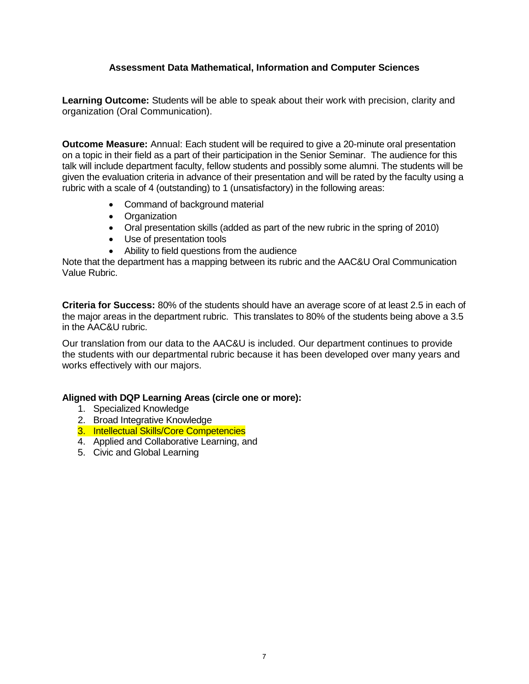**Learning Outcome:** Students will be able to speak about their work with precision, clarity and organization (Oral Communication).

**Outcome Measure:** Annual: Each student will be required to give a 20-minute oral presentation on a topic in their field as a part of their participation in the Senior Seminar. The audience for this talk will include department faculty, fellow students and possibly some alumni. The students will be given the evaluation criteria in advance of their presentation and will be rated by the faculty using a rubric with a scale of 4 (outstanding) to 1 (unsatisfactory) in the following areas:

- Command of background material
- Organization
- Oral presentation skills (added as part of the new rubric in the spring of 2010)
- Use of presentation tools
- Ability to field questions from the audience

Note that the department has a mapping between its rubric and the AAC&U Oral Communication Value Rubric.

**Criteria for Success:** 80% of the students should have an average score of at least 2.5 in each of the major areas in the department rubric. This translates to 80% of the students being above a 3.5 in the AAC&U rubric.

Our translation from our data to the AAC&U is included. Our department continues to provide the students with our departmental rubric because it has been developed over many years and works effectively with our majors.

### **Aligned with DQP Learning Areas (circle one or more):**

- 1. Specialized Knowledge
- 2. Broad Integrative Knowledge
- 3. Intellectual Skills/Core Competencies
- 4. Applied and Collaborative Learning, and
- 5. Civic and Global Learning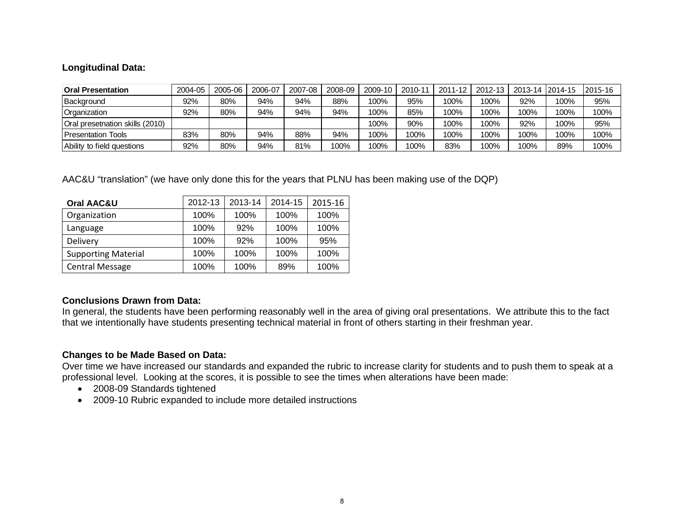### **Longitudinal Data:**

| <b>Oral Presentation</b>        | 2004-05 | 2005-06 | 2006-07 | 2007-08 | 2008-09 | 2009-10 | 2010-11 | 2011-12 | 2012-13 | 2013-14 | 2014-15 | 2015-16 |
|---------------------------------|---------|---------|---------|---------|---------|---------|---------|---------|---------|---------|---------|---------|
| Background                      | 92%     | 80%     | 94%     | 94%     | 88%     | 100%    | 95%     | 100%    | 100%    | 92%     | 100%    | 95%     |
| Organization                    | 92%     | 80%     | 94%     | 94%     | 94%     | 100%    | 85%     | 100%    | 100%    | 100%    | 100%    | 100%    |
| Oral presetnation skills (2010) |         |         |         |         |         | 100%    | 90%     | 100%    | 100%    | 92%     | 100%    | 95%     |
| <b>Presentation Tools</b>       | 83%     | 80%     | 94%     | 88%     | 94%     | 100%    | 100%    | 100%    | 100%    | 100%    | 100%    | 100%    |
| Ability to field questions      | 92%     | 80%     | 94%     | 81%     | 100%    | 100%    | 100%    | 83%     | 100%    | 100%    | 89%     | 100%    |

AAC&U "translation" (we have only done this for the years that PLNU has been making use of the DQP)

| Oral AAC&U                 | 2012-13 | 2013-14 | 2014-15 | 2015-16 |
|----------------------------|---------|---------|---------|---------|
| Organization               | 100%    | 100%    | 100%    | 100%    |
| Language                   | 100%    | 92%     | 100%    | 100%    |
| Delivery                   | 100%    | 92%     | 100%    | 95%     |
| <b>Supporting Material</b> | 100%    | 100%    | 100%    | 100%    |
| <b>Central Message</b>     | 100%    | 100%    | 89%     | 100%    |

# **Conclusions Drawn from Data:**

In general, the students have been performing reasonably well in the area of giving oral presentations. We attribute this to the fact that we intentionally have students presenting technical material in front of others starting in their freshman year.

### **Changes to be Made Based on Data:**

Over time we have increased our standards and expanded the rubric to increase clarity for students and to push them to speak at a professional level. Looking at the scores, it is possible to see the times when alterations have been made:

- 2008-09 Standards tightened
- 2009-10 Rubric expanded to include more detailed instructions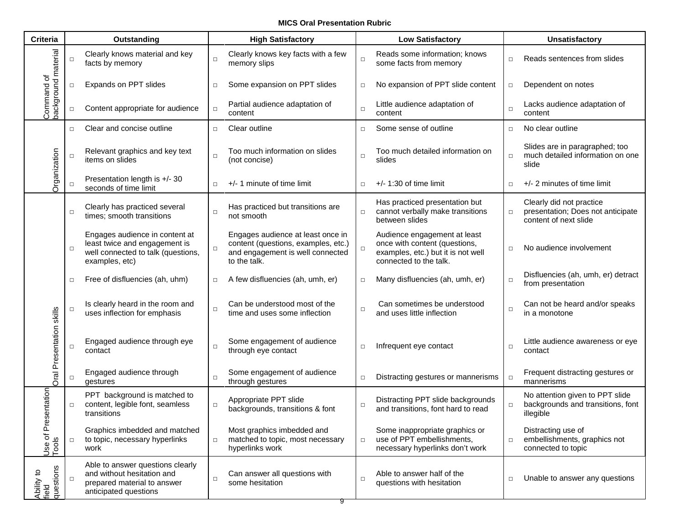**MICS Oral Presentation Rubric**

| <b>Criteria</b>                  |        | Outstanding                                                                                                             |        | <b>High Satisfactory</b>                                                                                                     |        | <b>Low Satisfactory</b>                                                                                                       |        | Unsatisfactory                                                                         |
|----------------------------------|--------|-------------------------------------------------------------------------------------------------------------------------|--------|------------------------------------------------------------------------------------------------------------------------------|--------|-------------------------------------------------------------------------------------------------------------------------------|--------|----------------------------------------------------------------------------------------|
| material                         | $\Box$ | Clearly knows material and key<br>facts by memory                                                                       | $\Box$ | Clearly knows key facts with a few<br>memory slips                                                                           | $\Box$ | Reads some information; knows<br>some facts from memory                                                                       | $\Box$ | Reads sentences from slides                                                            |
|                                  | $\Box$ | Expands on PPT slides                                                                                                   | $\Box$ | Some expansion on PPT slides                                                                                                 | $\Box$ | No expansion of PPT slide content                                                                                             | $\Box$ | Dependent on notes                                                                     |
| Command of<br>background m       | $\Box$ | Content appropriate for audience                                                                                        | $\Box$ | Partial audience adaptation of<br>content                                                                                    | $\Box$ | Little audience adaptation of<br>content                                                                                      | $\Box$ | Lacks audience adaptation of<br>content                                                |
|                                  | $\Box$ | Clear and concise outline                                                                                               | $\Box$ | Clear outline                                                                                                                | $\Box$ | Some sense of outline                                                                                                         | $\Box$ | No clear outline                                                                       |
| Organization                     | $\Box$ | Relevant graphics and key text<br>items on slides                                                                       | $\Box$ | Too much information on slides<br>(not concise)                                                                              | $\Box$ | Too much detailed information on<br>slides                                                                                    | $\Box$ | Slides are in paragraphed; too<br>much detailed information on one<br>slide            |
|                                  | $\Box$ | Presentation length is +/- 30<br>seconds of time limit                                                                  | $\Box$ | $+/-$ 1 minute of time limit                                                                                                 | $\Box$ | $+/- 1:30$ of time limit                                                                                                      | $\Box$ | +/- 2 minutes of time limit                                                            |
|                                  | $\Box$ | Clearly has practiced several<br>times; smooth transitions                                                              | $\Box$ | Has practiced but transitions are<br>not smooth                                                                              | $\Box$ | Has practiced presentation but<br>cannot verbally make transitions<br>between slides                                          | $\Box$ | Clearly did not practice<br>presentation; Does not anticipate<br>content of next slide |
|                                  | $\Box$ | Engages audience in content at<br>least twice and engagement is<br>well connected to talk (questions,<br>examples, etc) | $\Box$ | Engages audience at least once in<br>content (questions, examples, etc.)<br>and engagement is well connected<br>to the talk. | $\Box$ | Audience engagement at least<br>once with content (questions,<br>examples, etc.) but it is not well<br>connected to the talk. | $\Box$ | No audience involvement                                                                |
|                                  | $\Box$ | Free of disfluencies (ah, uhm)                                                                                          | $\Box$ | A few disfluencies (ah, umh, er)                                                                                             | $\Box$ | Many disfluencies (ah, umh, er)                                                                                               | $\Box$ | Disfluencies (ah, umh, er) detract<br>from presentation                                |
|                                  | $\Box$ | Is clearly heard in the room and<br>uses inflection for emphasis                                                        | $\Box$ | Can be understood most of the<br>time and uses some inflection                                                               | $\Box$ | Can sometimes be understood<br>and uses little inflection                                                                     | $\Box$ | Can not be heard and/or speaks<br>in a monotone                                        |
| Oral Presentation skills         | $\Box$ | Engaged audience through eye<br>contact                                                                                 | $\Box$ | Some engagement of audience<br>through eye contact                                                                           | $\Box$ | Infrequent eye contact                                                                                                        | $\Box$ | Little audience awareness or eye<br>contact                                            |
|                                  | $\Box$ | Engaged audience through<br>gestures                                                                                    | $\Box$ | Some engagement of audience<br>through gestures                                                                              | $\Box$ | Distracting gestures or mannerisms                                                                                            | $\Box$ | Frequent distracting gestures or<br>mannerisms                                         |
| entation                         | □      | PPT background is matched to<br>content, legible font, seamless<br>transitions                                          | $\Box$ | Appropriate PPT slide<br>backgrounds, transitions & font                                                                     | $\Box$ | Distracting PPT slide backgrounds<br>and transitions, font hard to read                                                       | $\Box$ | No attention given to PPT slide<br>backgrounds and transitions, font<br>illegible      |
| Presi<br>đ<br>ဖ<br>ioch<br>Tool  | $\Box$ | Graphics imbedded and matched<br>to topic, necessary hyperlinks<br>work                                                 | $\Box$ | Most graphics imbedded and<br>matched to topic, most necessary<br>hyperlinks work                                            | $\Box$ | Some inappropriate graphics or<br>use of PPT embellishments,<br>necessary hyperlinks don't work                               | $\Box$ | Distracting use of<br>embellishments, graphics not<br>connected to topic               |
| Ability to<br>field<br>questions | $\Box$ | Able to answer questions clearly<br>and without hesitation and<br>prepared material to answer<br>anticipated questions  | $\Box$ | Can answer all questions with<br>some hesitation                                                                             | $\Box$ | Able to answer half of the<br>questions with hesitation                                                                       | $\Box$ | Unable to answer any questions                                                         |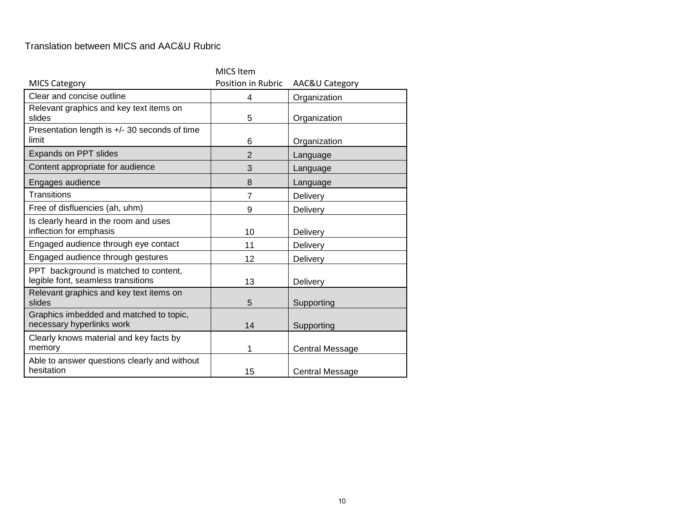# Translation between MICS and AAC&U Rubric

|                                                                             | <b>MICS Item</b>   |                        |
|-----------------------------------------------------------------------------|--------------------|------------------------|
| <b>MICS Category</b>                                                        | Position in Rubric | AAC&U Category         |
| Clear and concise outline                                                   | 4                  | Organization           |
| Relevant graphics and key text items on<br>slides                           | 5                  | Organization           |
| Presentation length is +/- 30 seconds of time<br>limit                      | 6                  | Organization           |
| <b>Expands on PPT slides</b>                                                | $\overline{2}$     | Language               |
| Content appropriate for audience                                            | 3                  | Language               |
| Engages audience                                                            | 8                  | Language               |
| Transitions                                                                 | $\overline{7}$     | Delivery               |
| Free of disfluencies (ah, uhm)                                              | 9                  | Delivery               |
| Is clearly heard in the room and uses<br>inflection for emphasis            | 10                 | Delivery               |
| Engaged audience through eye contact                                        | 11                 | Delivery               |
| Engaged audience through gestures                                           | 12                 | Delivery               |
| PPT background is matched to content,<br>legible font, seamless transitions | 13                 | Delivery               |
| Relevant graphics and key text items on<br>slides                           | 5                  | Supporting             |
| Graphics imbedded and matched to topic,<br>necessary hyperlinks work        | 14                 | Supporting             |
| Clearly knows material and key facts by<br>memory                           | 1                  | <b>Central Message</b> |
| Able to answer questions clearly and without<br>hesitation                  | 15                 | <b>Central Message</b> |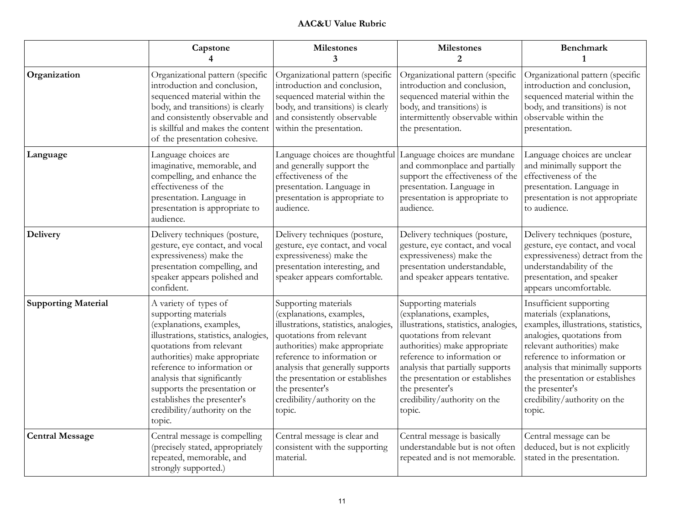# **AAC&U Value Rubric**

|                            | Capstone                                                                                                                                                                                                                                                                                                                                               | <b>Milestones</b><br>3                                                                                                                                                                                                                                                                                                    | <b>Milestones</b><br>$\mathcal{D}_{\mathcal{L}}$                                                                                                                                                                                                                                                                          | <b>Benchmark</b><br>1                                                                                                                                                                                                                                                                                                      |
|----------------------------|--------------------------------------------------------------------------------------------------------------------------------------------------------------------------------------------------------------------------------------------------------------------------------------------------------------------------------------------------------|---------------------------------------------------------------------------------------------------------------------------------------------------------------------------------------------------------------------------------------------------------------------------------------------------------------------------|---------------------------------------------------------------------------------------------------------------------------------------------------------------------------------------------------------------------------------------------------------------------------------------------------------------------------|----------------------------------------------------------------------------------------------------------------------------------------------------------------------------------------------------------------------------------------------------------------------------------------------------------------------------|
| Organization               | Organizational pattern (specific<br>introduction and conclusion,<br>sequenced material within the<br>body, and transitions) is clearly<br>and consistently observable and<br>is skillful and makes the content<br>of the presentation cohesive.                                                                                                        | Organizational pattern (specific<br>introduction and conclusion,<br>sequenced material within the<br>body, and transitions) is clearly<br>and consistently observable<br>within the presentation.                                                                                                                         | Organizational pattern (specific<br>introduction and conclusion,<br>sequenced material within the<br>body, and transitions) is<br>intermittently observable within<br>the presentation.                                                                                                                                   | Organizational pattern (specific<br>introduction and conclusion,<br>sequenced material within the<br>body, and transitions) is not<br>observable within the<br>presentation.                                                                                                                                               |
| Language                   | Language choices are<br>imaginative, memorable, and<br>compelling, and enhance the<br>effectiveness of the<br>presentation. Language in<br>presentation is appropriate to<br>audience.                                                                                                                                                                 | Language choices are thoughtful Language choices are mundane<br>and generally support the<br>effectiveness of the<br>presentation. Language in<br>presentation is appropriate to<br>audience.                                                                                                                             | and commonplace and partially<br>support the effectiveness of the<br>presentation. Language in<br>presentation is appropriate to<br>audience.                                                                                                                                                                             | Language choices are unclear<br>and minimally support the<br>effectiveness of the<br>presentation. Language in<br>presentation is not appropriate<br>to audience.                                                                                                                                                          |
| <b>Delivery</b>            | Delivery techniques (posture,<br>gesture, eye contact, and vocal<br>expressiveness) make the<br>presentation compelling, and<br>speaker appears polished and<br>confident.                                                                                                                                                                             | Delivery techniques (posture,<br>gesture, eye contact, and vocal<br>expressiveness) make the<br>presentation interesting, and<br>speaker appears comfortable.                                                                                                                                                             | Delivery techniques (posture,<br>gesture, eye contact, and vocal<br>expressiveness) make the<br>presentation understandable,<br>and speaker appears tentative.                                                                                                                                                            | Delivery techniques (posture,<br>gesture, eye contact, and vocal<br>expressiveness) detract from the<br>understandability of the<br>presentation, and speaker<br>appears uncomfortable.                                                                                                                                    |
| <b>Supporting Material</b> | A variety of types of<br>supporting materials<br>(explanations, examples,<br>illustrations, statistics, analogies,<br>quotations from relevant<br>authorities) make appropriate<br>reference to information or<br>analysis that significantly<br>supports the presentation or<br>establishes the presenter's<br>credibility/authority on the<br>topic. | Supporting materials<br>(explanations, examples,<br>illustrations, statistics, analogies,<br>quotations from relevant<br>authorities) make appropriate<br>reference to information or<br>analysis that generally supports<br>the presentation or establishes<br>the presenter's<br>credibility/authority on the<br>topic. | Supporting materials<br>(explanations, examples,<br>illustrations, statistics, analogies,<br>quotations from relevant<br>authorities) make appropriate<br>reference to information or<br>analysis that partially supports<br>the presentation or establishes<br>the presenter's<br>credibility/authority on the<br>topic. | Insufficient supporting<br>materials (explanations,<br>examples, illustrations, statistics,<br>analogies, quotations from<br>relevant authorities) make<br>reference to information or<br>analysis that minimally supports<br>the presentation or establishes<br>the presenter's<br>credibility/authority on the<br>topic. |
| <b>Central Message</b>     | Central message is compelling<br>(precisely stated, appropriately<br>repeated, memorable, and<br>strongly supported.)                                                                                                                                                                                                                                  | Central message is clear and<br>consistent with the supporting<br>material.                                                                                                                                                                                                                                               | Central message is basically<br>understandable but is not often<br>repeated and is not memorable.                                                                                                                                                                                                                         | Central message can be<br>deduced, but is not explicitly<br>stated in the presentation.                                                                                                                                                                                                                                    |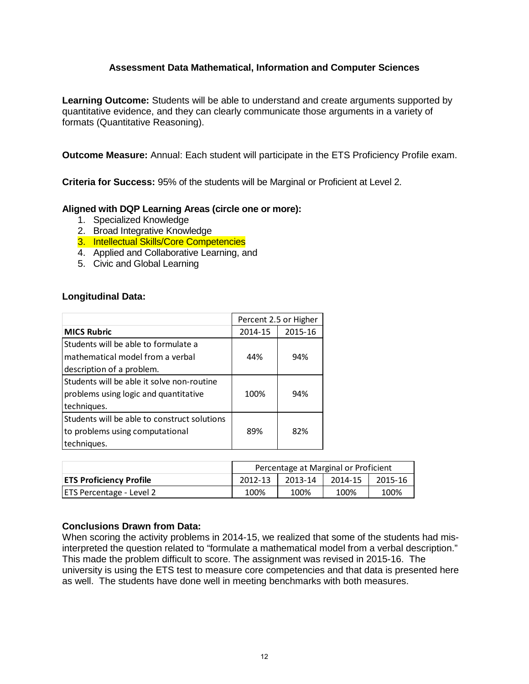**Learning Outcome:** Students will be able to understand and create arguments supported by quantitative evidence, and they can clearly communicate those arguments in a variety of formats (Quantitative Reasoning).

**Outcome Measure:** Annual: Each student will participate in the ETS Proficiency Profile exam.

**Criteria for Success:** 95% of the students will be Marginal or Proficient at Level 2.

### **Aligned with DQP Learning Areas (circle one or more):**

- 1. Specialized Knowledge
- 2. Broad Integrative Knowledge
- 3. Intellectual Skills/Core Competencies
- 4. Applied and Collaborative Learning, and
- 5. Civic and Global Learning

### **Longitudinal Data:**

|                                              |         | Percent 2.5 or Higher |
|----------------------------------------------|---------|-----------------------|
| <b>MICS Rubric</b>                           | 2014-15 | 2015-16               |
| Students will be able to formulate a         |         |                       |
| mathematical model from a verbal             | 44%     | 94%                   |
| description of a problem.                    |         |                       |
| Students will be able it solve non-routine   |         |                       |
| problems using logic and quantitative        | 100%    | 94%                   |
| techniques.                                  |         |                       |
| Students will be able to construct solutions |         |                       |
| to problems using computational              | 89%     | 82%                   |
| techniques.                                  |         |                       |

|                                  | Percentage at Marginal or Proficient     |      |      |      |  |  |  |
|----------------------------------|------------------------------------------|------|------|------|--|--|--|
| <b>ETS Proficiency Profile</b>   | 2012-13<br>2013-14<br>2015-16<br>2014-15 |      |      |      |  |  |  |
| <b>IETS Percentage - Level 2</b> | 100%                                     | 100% | 100% | 100% |  |  |  |

### **Conclusions Drawn from Data:**

When scoring the activity problems in 2014-15, we realized that some of the students had misinterpreted the question related to "formulate a mathematical model from a verbal description." This made the problem difficult to score. The assignment was revised in 2015-16. The university is using the ETS test to measure core competencies and that data is presented here as well. The students have done well in meeting benchmarks with both measures.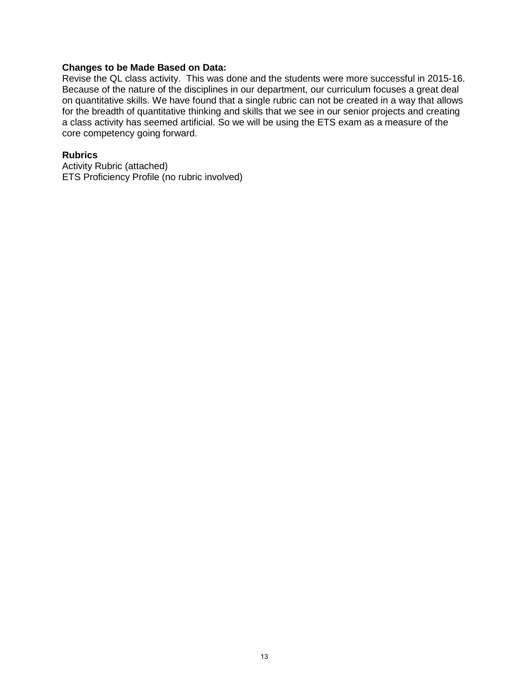### **Changes to be Made Based on Data:**

Revise the QL class activity. This was done and the students were more successful in 2015-16. Because of the nature of the disciplines in our department, our curriculum focuses a great deal on quantitative skills. We have found that a single rubric can not be created in a way that allows for the breadth of quantitative thinking and skills that we see in our senior projects and creating a class activity has seemed artificial. So we will be using the ETS exam as a measure of the core competency going forward.

### **Rubrics**

Activity Rubric (attached) ETS Proficiency Profile (no rubric involved)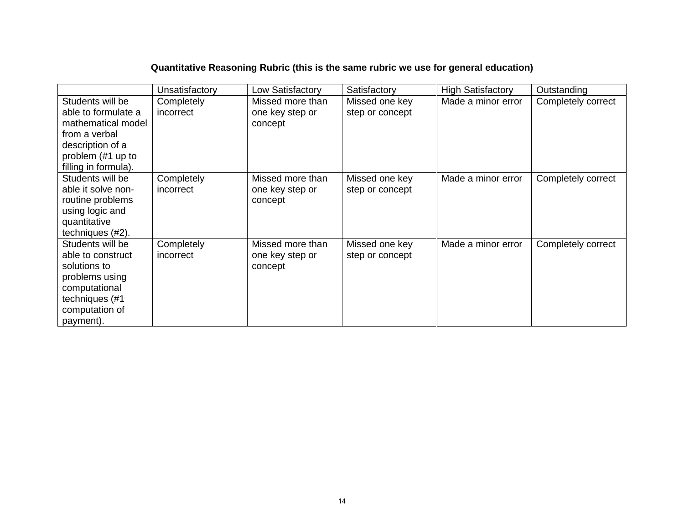# **Quantitative Reasoning Rubric (this is the same rubric we use for general education)**

|                      | Unsatisfactory | Low Satisfactory | Satisfactory    | <b>High Satisfactory</b> | Outstanding        |
|----------------------|----------------|------------------|-----------------|--------------------------|--------------------|
| Students will be     | Completely     | Missed more than | Missed one key  | Made a minor error       | Completely correct |
| able to formulate a  | incorrect      | one key step or  | step or concept |                          |                    |
| mathematical model   |                | concept          |                 |                          |                    |
| from a verbal        |                |                  |                 |                          |                    |
| description of a     |                |                  |                 |                          |                    |
| problem (#1 up to    |                |                  |                 |                          |                    |
| filling in formula). |                |                  |                 |                          |                    |
| Students will be     | Completely     | Missed more than | Missed one key  | Made a minor error       | Completely correct |
| able it solve non-   | incorrect      | one key step or  | step or concept |                          |                    |
| routine problems     |                | concept          |                 |                          |                    |
| using logic and      |                |                  |                 |                          |                    |
| quantitative         |                |                  |                 |                          |                    |
| techniques (#2).     |                |                  |                 |                          |                    |
| Students will be     | Completely     | Missed more than | Missed one key  | Made a minor error       | Completely correct |
| able to construct    | incorrect      | one key step or  | step or concept |                          |                    |
| solutions to         |                | concept          |                 |                          |                    |
| problems using       |                |                  |                 |                          |                    |
| computational        |                |                  |                 |                          |                    |
| techniques (#1       |                |                  |                 |                          |                    |
| computation of       |                |                  |                 |                          |                    |
| payment).            |                |                  |                 |                          |                    |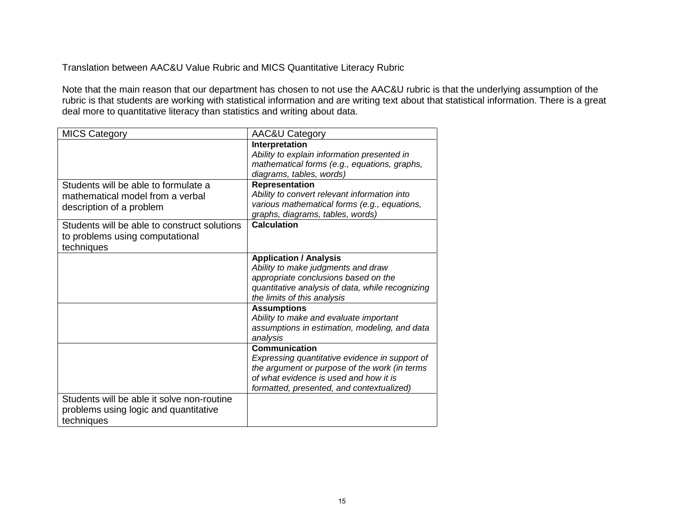Translation between AAC&U Value Rubric and MICS Quantitative Literacy Rubric

Note that the main reason that our department has chosen to not use the AAC&U rubric is that the underlying assumption of the rubric is that students are working with statistical information and are writing text about that statistical information. There is a great deal more to quantitative literacy than statistics and writing about data.

| <b>MICS Category</b>                                                                                 | AAC&U Category                                                                                                                                                                                                 |
|------------------------------------------------------------------------------------------------------|----------------------------------------------------------------------------------------------------------------------------------------------------------------------------------------------------------------|
|                                                                                                      | Interpretation<br>Ability to explain information presented in<br>mathematical forms (e.g., equations, graphs,<br>diagrams, tables, words)                                                                      |
| Students will be able to formulate a<br>mathematical model from a verbal<br>description of a problem | Representation<br>Ability to convert relevant information into<br>various mathematical forms (e.g., equations,<br>graphs, diagrams, tables, words)                                                             |
| Students will be able to construct solutions<br>to problems using computational<br>techniques        | <b>Calculation</b>                                                                                                                                                                                             |
|                                                                                                      | <b>Application / Analysis</b><br>Ability to make judgments and draw<br>appropriate conclusions based on the<br>quantitative analysis of data, while recognizing<br>the limits of this analysis                 |
|                                                                                                      | <b>Assumptions</b><br>Ability to make and evaluate important<br>assumptions in estimation, modeling, and data<br>analysis                                                                                      |
|                                                                                                      | <b>Communication</b><br>Expressing quantitative evidence in support of<br>the argument or purpose of the work (in terms<br>of what evidence is used and how it is<br>formatted, presented, and contextualized) |
| Students will be able it solve non-routine<br>problems using logic and quantitative<br>techniques    |                                                                                                                                                                                                                |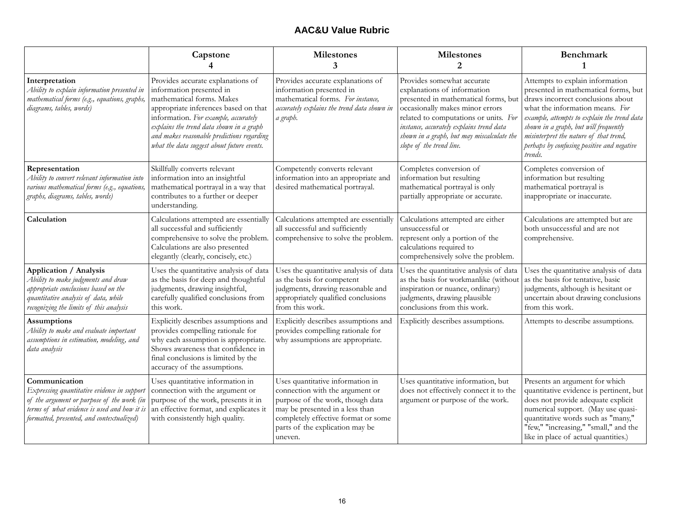# **AAC&U Value Rubric**

|                                                                                                                                                                                                         | Capstone                                                                                                                                                                                                                                                                                                           | <b>Milestones</b><br>3                                                                                                                                                                                                          | <b>Milestones</b><br>$\overline{c}$                                                                                                                                                                                                                                                                 | <b>Benchmark</b>                                                                                                                                                                                                                                                                                                                           |
|---------------------------------------------------------------------------------------------------------------------------------------------------------------------------------------------------------|--------------------------------------------------------------------------------------------------------------------------------------------------------------------------------------------------------------------------------------------------------------------------------------------------------------------|---------------------------------------------------------------------------------------------------------------------------------------------------------------------------------------------------------------------------------|-----------------------------------------------------------------------------------------------------------------------------------------------------------------------------------------------------------------------------------------------------------------------------------------------------|--------------------------------------------------------------------------------------------------------------------------------------------------------------------------------------------------------------------------------------------------------------------------------------------------------------------------------------------|
| Interpretation<br>Ability to explain information presented in<br>mathematical forms (e.g., equations, graphs,<br>diagrams, tables, words)                                                               | Provides accurate explanations of<br>information presented in<br>mathematical forms. Makes<br>appropriate inferences based on that<br>information. For example, accurately<br>explains the trend data shown in a graph<br>and makes reasonable predictions regarding<br>what the data suggest about future events. | Provides accurate explanations of<br>information presented in<br>mathematical forms. For instance,<br>accurately explains the trend data shown in<br>a graph.                                                                   | Provides somewhat accurate<br>explanations of information<br>presented in mathematical forms, but<br>occasionally makes minor errors<br>related to computations or units. For<br>instance, accurately explains trend data<br>shown in a graph, but may miscalculate the<br>slope of the trend line. | Attempts to explain information<br>presented in mathematical forms, but<br>draws incorrect conclusions about<br>what the information means. For<br>example, attempts to explain the trend data<br>shown in a graph, but will frequently<br>misinterpret the nature of that trend,<br>perhaps by confusing positive and negative<br>trends. |
| Representation<br>Ability to convert relevant information into<br>various mathematical forms (e.g., equations,<br>graphs, diagrams, tables, words)                                                      | Skillfully converts relevant<br>information into an insightful<br>mathematical portrayal in a way that<br>contributes to a further or deeper<br>understanding.                                                                                                                                                     | Competently converts relevant<br>information into an appropriate and<br>desired mathematical portrayal.                                                                                                                         | Completes conversion of<br>information but resulting<br>mathematical portrayal is only<br>partially appropriate or accurate.                                                                                                                                                                        | Completes conversion of<br>information but resulting<br>mathematical portrayal is<br>inappropriate or inaccurate.                                                                                                                                                                                                                          |
| Calculation                                                                                                                                                                                             | Calculations attempted are essentially<br>all successful and sufficiently<br>comprehensive to solve the problem.<br>Calculations are also presented<br>elegantly (clearly, concisely, etc.)                                                                                                                        | Calculations attempted are essentially<br>all successful and sufficiently<br>comprehensive to solve the problem.                                                                                                                | Calculations attempted are either<br>unsuccessful or<br>represent only a portion of the<br>calculations required to<br>comprehensively solve the problem.                                                                                                                                           | Calculations are attempted but are<br>both unsuccessful and are not<br>comprehensive.                                                                                                                                                                                                                                                      |
| Application / Analysis<br>Ability to make judgments and draw<br>appropriate conclusions based on the<br>quantitative analysis of data, while<br>recognizing the limits of this analysis                 | Uses the quantitative analysis of data<br>as the basis for deep and thoughtful<br>judgments, drawing insightful,<br>carefully qualified conclusions from<br>this work.                                                                                                                                             | Uses the quantitative analysis of data<br>as the basis for competent<br>judgments, drawing reasonable and<br>appropriately qualified conclusions<br>from this work.                                                             | Uses the quantitative analysis of data<br>as the basis for workmanlike (without<br>inspiration or nuance, ordinary)<br>judgments, drawing plausible<br>conclusions from this work.                                                                                                                  | Uses the quantitative analysis of data<br>as the basis for tentative, basic<br>judgments, although is hesitant or<br>uncertain about drawing conclusions<br>from this work.                                                                                                                                                                |
| Assumptions<br>Ability to make and evaluate important<br>assumptions in estimation, modeling, and<br>data analysis                                                                                      | Explicitly describes assumptions and<br>provides compelling rationale for<br>why each assumption is appropriate.<br>Shows awareness that confidence in<br>final conclusions is limited by the<br>accuracy of the assumptions.                                                                                      | Explicitly describes assumptions and<br>provides compelling rationale for<br>why assumptions are appropriate.                                                                                                                   | Explicitly describes assumptions.                                                                                                                                                                                                                                                                   | Attempts to describe assumptions.                                                                                                                                                                                                                                                                                                          |
| Communication<br>Expressing quantitative evidence in support<br>of the argument or purpose of the work (in<br>terms of what evidence is used and how it is<br>formatted, presented, and contextualized) | Uses quantitative information in<br>connection with the argument or<br>purpose of the work, presents it in<br>an effective format, and explicates it<br>with consistently high quality.                                                                                                                            | Uses quantitative information in<br>connection with the argument or<br>purpose of the work, though data<br>may be presented in a less than<br>completely effective format or some<br>parts of the explication may be<br>uneven. | Uses quantitative information, but<br>does not effectively connect it to the<br>argument or purpose of the work.                                                                                                                                                                                    | Presents an argument for which<br>quantitative evidence is pertinent, but<br>does not provide adequate explicit<br>numerical support. (May use quasi-<br>quantitative words such as "many,"<br>"few," "increasing," "small," and the<br>like in place of actual quantities.)                                                               |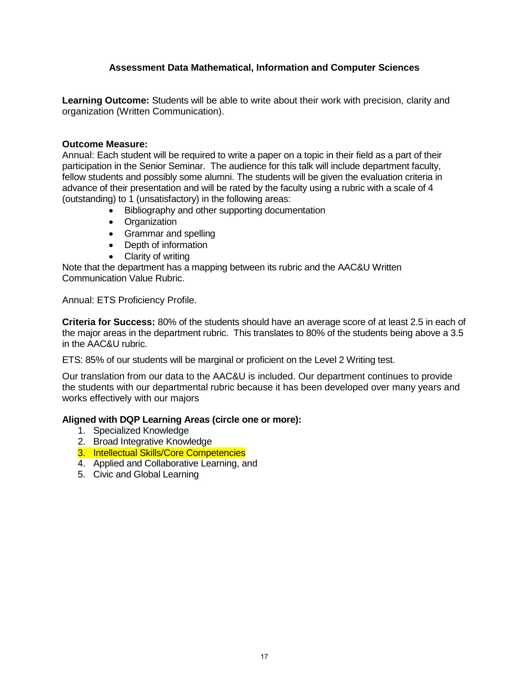**Learning Outcome:** Students will be able to write about their work with precision, clarity and organization (Written Communication).

### **Outcome Measure:**

Annual: Each student will be required to write a paper on a topic in their field as a part of their participation in the Senior Seminar. The audience for this talk will include department faculty, fellow students and possibly some alumni. The students will be given the evaluation criteria in advance of their presentation and will be rated by the faculty using a rubric with a scale of 4 (outstanding) to 1 (unsatisfactory) in the following areas:

- Bibliography and other supporting documentation
- Organization
- Grammar and spelling
- Depth of information
- Clarity of writing

Note that the department has a mapping between its rubric and the AAC&U Written Communication Value Rubric.

Annual: ETS Proficiency Profile.

**Criteria for Success:** 80% of the students should have an average score of at least 2.5 in each of the major areas in the department rubric. This translates to 80% of the students being above a 3.5 in the AAC&U rubric.

ETS: 85% of our students will be marginal or proficient on the Level 2 Writing test.

Our translation from our data to the AAC&U is included. Our department continues to provide the students with our departmental rubric because it has been developed over many years and works effectively with our majors

### **Aligned with DQP Learning Areas (circle one or more):**

- 1. Specialized Knowledge
- 2. Broad Integrative Knowledge
- 3. Intellectual Skills/Core Competencies
- 4. Applied and Collaborative Learning, and
- 5. Civic and Global Learning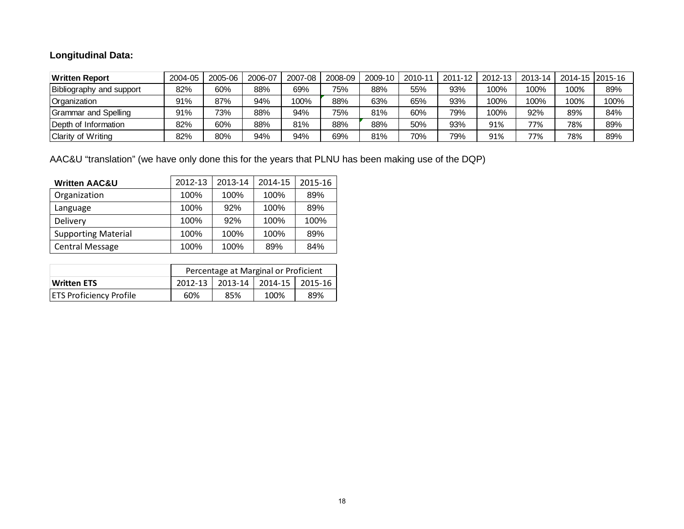# **Longitudinal Data:**

| <b>Written Report</b>           | 2004-05 | 2005-06 | 2006-07 | 2007-08 | 2008-09 | 2009-10 | 2010-11 | 2011-12 | 2012-13 | 2013-14 | 2014-15 2015-16 |      |
|---------------------------------|---------|---------|---------|---------|---------|---------|---------|---------|---------|---------|-----------------|------|
| <b>Bibliography and support</b> | 82%     | 60%     | 88%     | 69%     | 75%     | 88%     | 55%     | 93%     | 100%    | 100%    | 100%            | 89%  |
| Organization                    | 91%     | 87%     | 94%     | 100%    | 88%     | 63%     | 65%     | 93%     | 100%    | 100%    | 100%            | 100% |
| Grammar and Spelling            | 91%     | 73%     | 88%     | 94%     | 75%     | 81%     | 60%     | 79%     | 100%    | 92%     | 89%             | 84%  |
| Depth of Information            | 82%     | 60%     | 88%     | 81%     | 88%     | 88%     | 50%     | 93%     | 91%     | 77%     | 78%             | 89%  |
| <b>Clarity of Writing</b>       | 82%     | 80%     | 94%     | 94%     | 69%     | 81%     | 70%     | 79%     | 91%     | 77%     | 78%             | 89%  |

AAC&U "translation" (we have only done this for the years that PLNU has been making use of the DQP)

| <b>Written AAC&amp;U</b>   | 2012-13 | 2013-14 | 2014-15 | 2015-16 |
|----------------------------|---------|---------|---------|---------|
| Organization               | 100%    | 100%    | 100%    | 89%     |
| Language                   | 100%    | 92%     | 100%    | 89%     |
| Delivery                   | 100%    | 92%     | 100%    | 100%    |
| <b>Supporting Material</b> | 100%    | 100%    | 100%    | 89%     |
| <b>Central Message</b>     | 100%    | 100%    | 89%     | 84%     |

|                                | Percentage at Marginal or Proficient |                                       |      |     |  |  |
|--------------------------------|--------------------------------------|---------------------------------------|------|-----|--|--|
| Written ETS                    |                                      | 2012-13   2013-14   2014-15   2015-16 |      |     |  |  |
| <b>ETS Proficiency Profile</b> | 60%                                  | 85%                                   | 100% | 89% |  |  |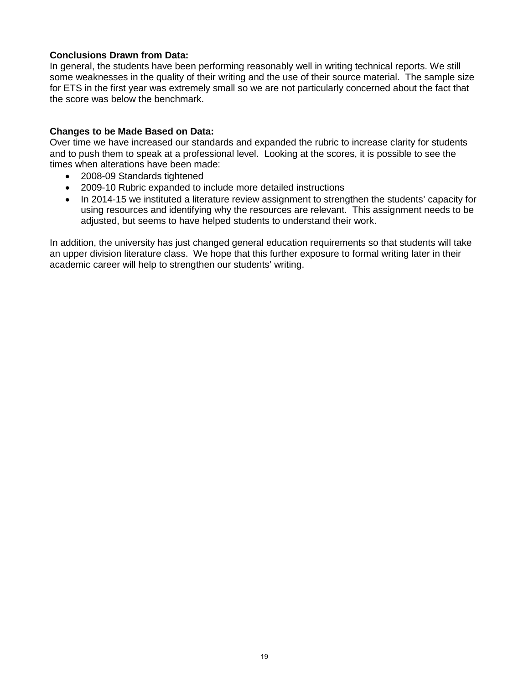## **Conclusions Drawn from Data:**

In general, the students have been performing reasonably well in writing technical reports. We still some weaknesses in the quality of their writing and the use of their source material. The sample size for ETS in the first year was extremely small so we are not particularly concerned about the fact that the score was below the benchmark.

### **Changes to be Made Based on Data:**

Over time we have increased our standards and expanded the rubric to increase clarity for students and to push them to speak at a professional level. Looking at the scores, it is possible to see the times when alterations have been made:

- 2008-09 Standards tightened
- 2009-10 Rubric expanded to include more detailed instructions
- In 2014-15 we instituted a literature review assignment to strengthen the students' capacity for using resources and identifying why the resources are relevant. This assignment needs to be adjusted, but seems to have helped students to understand their work.

In addition, the university has just changed general education requirements so that students will take an upper division literature class. We hope that this further exposure to formal writing later in their academic career will help to strengthen our students' writing.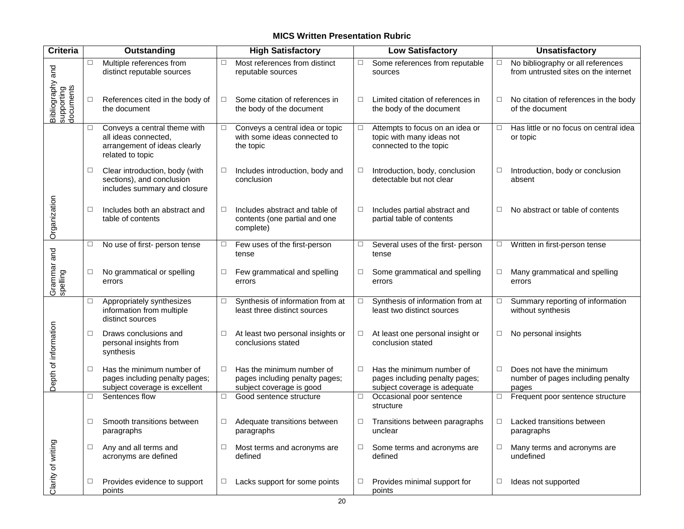# **MICS Written Presentation Rubric**

| <b>Criteria</b>                             | Outstanding |                                                                                                          |        | <b>High Satisfactory</b>                                                                |        | <b>Low Satisfactory</b>                                                                     | <b>Unsatisfactory</b> |                                                                           |
|---------------------------------------------|-------------|----------------------------------------------------------------------------------------------------------|--------|-----------------------------------------------------------------------------------------|--------|---------------------------------------------------------------------------------------------|-----------------------|---------------------------------------------------------------------------|
|                                             | $\Box$      | Multiple references from<br>distinct reputable sources                                                   | $\Box$ | Most references from distinct<br>reputable sources                                      | □      | Some references from reputable<br>sources                                                   | $\Box$                | No bibliography or all references<br>from untrusted sites on the internet |
| Bibliography and<br>supporting<br>documents | □           | References cited in the body of<br>the document                                                          | □      | Some citation of references in<br>the body of the document                              | □      | Limited citation of references in<br>the body of the document                               | □                     | No citation of references in the body<br>of the document                  |
|                                             | □           | Conveys a central theme with<br>all ideas connected,<br>arrangement of ideas clearly<br>related to topic | $\Box$ | Conveys a central idea or topic<br>with some ideas connected to<br>the topic            | $\Box$ | Attempts to focus on an idea or<br>topic with many ideas not<br>connected to the topic      | □                     | Has little or no focus on central idea<br>or topic                        |
|                                             | $\Box$      | Clear introduction, body (with<br>sections), and conclusion<br>includes summary and closure              | $\Box$ | Includes introduction, body and<br>conclusion                                           | □      | Introduction, body, conclusion<br>detectable but not clear                                  | □                     | Introduction, body or conclusion<br>absent                                |
| Organization                                | $\Box$      | Includes both an abstract and<br>table of contents                                                       | □      | Includes abstract and table of<br>contents (one partial and one<br>complete)            | □      | Includes partial abstract and<br>partial table of contents                                  | □                     | No abstract or table of contents                                          |
|                                             | □           | No use of first- person tense                                                                            | □      | Few uses of the first-person<br>tense                                                   | □      | Several uses of the first- person<br>tense                                                  | □                     | Written in first-person tense                                             |
| Grammar and<br>spelling                     | $\Box$      | No grammatical or spelling<br>errors                                                                     | □      | Few grammatical and spelling<br>errors                                                  | □      | Some grammatical and spelling<br>errors                                                     | □                     | Many grammatical and spelling<br>errors                                   |
|                                             | □           | Appropriately synthesizes<br>information from multiple<br>distinct sources                               | □      | Synthesis of information from at<br>least three distinct sources                        | □      | Synthesis of information from at<br>least two distinct sources                              | □                     | Summary reporting of information<br>without synthesis                     |
| Depth of information                        | $\Box$      | Draws conclusions and<br>personal insights from<br>synthesis                                             | □      | At least two personal insights or<br>conclusions stated                                 | □      | At least one personal insight or<br>conclusion stated                                       | □                     | No personal insights                                                      |
|                                             | $\Box$      | Has the minimum number of<br>pages including penalty pages;<br>subject coverage is excellent             | $\Box$ | Has the minimum number of<br>pages including penalty pages;<br>subject coverage is good | □      | Has the minimum number of<br>pages including penalty pages;<br>subject coverage is adequate | □                     | Does not have the minimum<br>number of pages including penalty<br>pages   |
|                                             | $\Box$      | Sentences flow                                                                                           | $\Box$ | Good sentence structure                                                                 | $\Box$ | Occasional poor sentence<br>structure                                                       | $\Box$                | Frequent poor sentence structure                                          |
| Clarity of writing                          | $\Box$      | Smooth transitions between<br>paragraphs                                                                 | $\Box$ | Adequate transitions between<br>paragraphs                                              | □      | Transitions between paragraphs<br>unclear                                                   | □                     | Lacked transitions between<br>paragraphs                                  |
|                                             | □           | Any and all terms and<br>acronyms are defined                                                            | □      | Most terms and acronyms are<br>defined                                                  | □      | Some terms and acronyms are<br>defined                                                      | □                     | Many terms and acronyms are<br>undefined                                  |
|                                             | $\Box$      | Provides evidence to support<br>points                                                                   | $\Box$ | Lacks support for some points                                                           | □      | Provides minimal support for<br>points                                                      | □                     | Ideas not supported                                                       |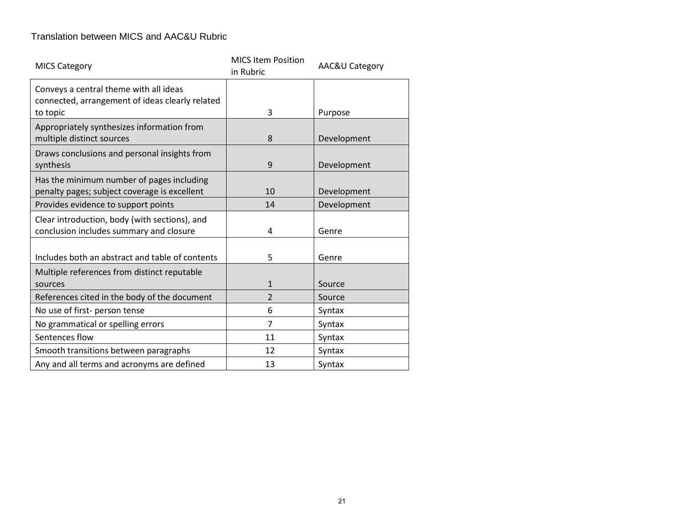# Translation between MICS and AAC&U Rubric

| <b>MICS Category</b>                                                                      | <b>MICS Item Position</b><br>in Rubric | AAC&U Category |
|-------------------------------------------------------------------------------------------|----------------------------------------|----------------|
| Conveys a central theme with all ideas<br>connected, arrangement of ideas clearly related |                                        |                |
| to topic                                                                                  | 3                                      | Purpose        |
| Appropriately synthesizes information from<br>multiple distinct sources                   | 8                                      | Development    |
| Draws conclusions and personal insights from<br>synthesis                                 | 9                                      | Development    |
| Has the minimum number of pages including<br>penalty pages; subject coverage is excellent | 10                                     | Development    |
| Provides evidence to support points                                                       | 14                                     | Development    |
| Clear introduction, body (with sections), and<br>conclusion includes summary and closure  | 4                                      | Genre          |
| Includes both an abstract and table of contents                                           | 5                                      | Genre          |
| Multiple references from distinct reputable<br>sources                                    | $\mathbf{1}$                           | Source         |
| References cited in the body of the document                                              | $\overline{2}$                         | Source         |
| No use of first- person tense                                                             | 6                                      | Syntax         |
| No grammatical or spelling errors                                                         | $\overline{7}$                         | Syntax         |
| Sentences flow                                                                            | 11                                     | Syntax         |
| Smooth transitions between paragraphs                                                     | 12                                     | Syntax         |
| Any and all terms and acronyms are defined                                                | 13                                     | Syntax         |